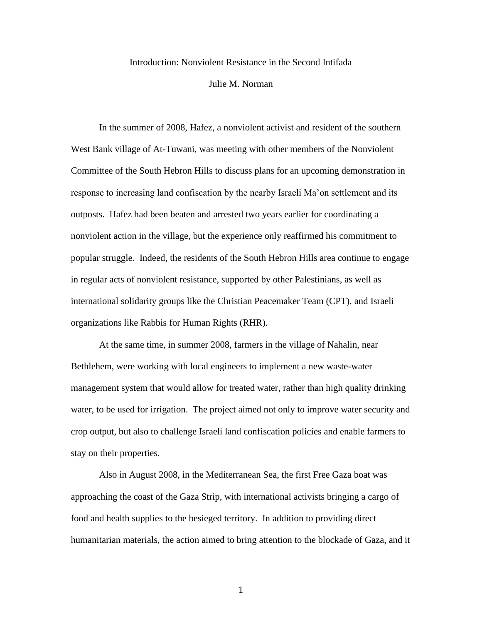#### Introduction: Nonviolent Resistance in the Second Intifada

#### Julie M. Norman

In the summer of 2008, Hafez, a nonviolent activist and resident of the southern West Bank village of At-Tuwani, was meeting with other members of the Nonviolent Committee of the South Hebron Hills to discuss plans for an upcoming demonstration in response to increasing land confiscation by the nearby Israeli Ma'on settlement and its outposts. Hafez had been beaten and arrested two years earlier for coordinating a nonviolent action in the village, but the experience only reaffirmed his commitment to popular struggle. Indeed, the residents of the South Hebron Hills area continue to engage in regular acts of nonviolent resistance, supported by other Palestinians, as well as international solidarity groups like the Christian Peacemaker Team (CPT), and Israeli organizations like Rabbis for Human Rights (RHR).

At the same time, in summer 2008, farmers in the village of Nahalin, near Bethlehem, were working with local engineers to implement a new waste-water management system that would allow for treated water, rather than high quality drinking water, to be used for irrigation. The project aimed not only to improve water security and crop output, but also to challenge Israeli land confiscation policies and enable farmers to stay on their properties.

Also in August 2008, in the Mediterranean Sea, the first Free Gaza boat was approaching the coast of the Gaza Strip, with international activists bringing a cargo of food and health supplies to the besieged territory. In addition to providing direct humanitarian materials, the action aimed to bring attention to the blockade of Gaza, and it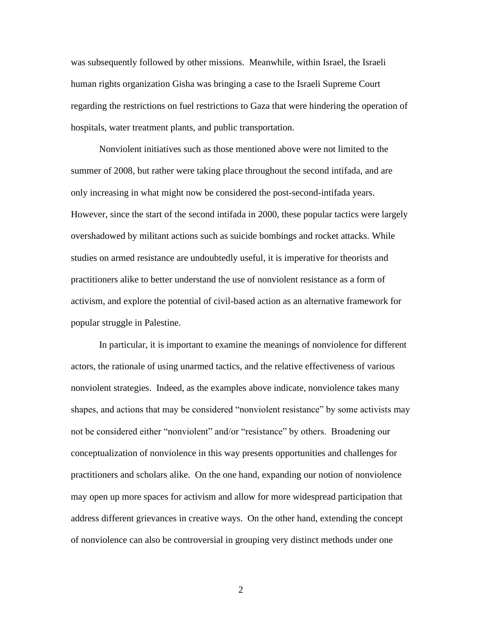was subsequently followed by other missions. Meanwhile, within Israel, the Israeli human rights organization Gisha was bringing a case to the Israeli Supreme Court regarding the restrictions on fuel restrictions to Gaza that were hindering the operation of hospitals, water treatment plants, and public transportation.

Nonviolent initiatives such as those mentioned above were not limited to the summer of 2008, but rather were taking place throughout the second intifada, and are only increasing in what might now be considered the post-second-intifada years. However, since the start of the second intifada in 2000, these popular tactics were largely overshadowed by militant actions such as suicide bombings and rocket attacks. While studies on armed resistance are undoubtedly useful, it is imperative for theorists and practitioners alike to better understand the use of nonviolent resistance as a form of activism, and explore the potential of civil-based action as an alternative framework for popular struggle in Palestine.

In particular, it is important to examine the meanings of nonviolence for different actors, the rationale of using unarmed tactics, and the relative effectiveness of various nonviolent strategies. Indeed, as the examples above indicate, nonviolence takes many shapes, and actions that may be considered "nonviolent resistance" by some activists may not be considered either "nonviolent" and/or "resistance" by others. Broadening our conceptualization of nonviolence in this way presents opportunities and challenges for practitioners and scholars alike. On the one hand, expanding our notion of nonviolence may open up more spaces for activism and allow for more widespread participation that address different grievances in creative ways. On the other hand, extending the concept of nonviolence can also be controversial in grouping very distinct methods under one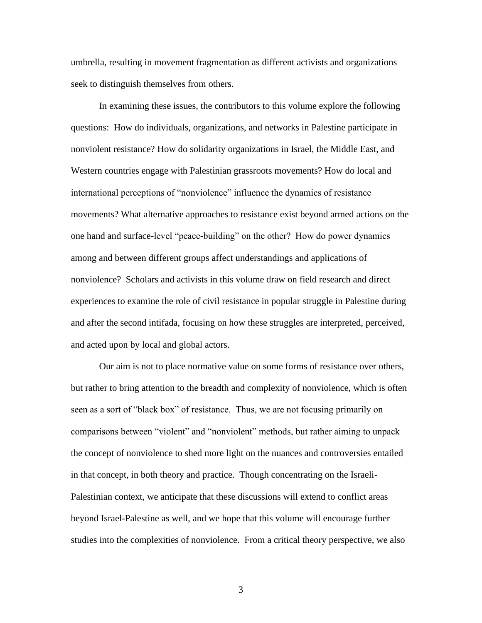umbrella, resulting in movement fragmentation as different activists and organizations seek to distinguish themselves from others.

In examining these issues, the contributors to this volume explore the following questions: How do individuals, organizations, and networks in Palestine participate in nonviolent resistance? How do solidarity organizations in Israel, the Middle East, and Western countries engage with Palestinian grassroots movements? How do local and international perceptions of "nonviolence" influence the dynamics of resistance movements? What alternative approaches to resistance exist beyond armed actions on the one hand and surface-level "peace-building" on the other? How do power dynamics among and between different groups affect understandings and applications of nonviolence? Scholars and activists in this volume draw on field research and direct experiences to examine the role of civil resistance in popular struggle in Palestine during and after the second intifada, focusing on how these struggles are interpreted, perceived, and acted upon by local and global actors.

Our aim is not to place normative value on some forms of resistance over others, but rather to bring attention to the breadth and complexity of nonviolence, which is often seen as a sort of "black box" of resistance. Thus, we are not focusing primarily on comparisons between "violent" and "nonviolent" methods, but rather aiming to unpack the concept of nonviolence to shed more light on the nuances and controversies entailed in that concept, in both theory and practice. Though concentrating on the Israeli-Palestinian context, we anticipate that these discussions will extend to conflict areas beyond Israel-Palestine as well, and we hope that this volume will encourage further studies into the complexities of nonviolence. From a critical theory perspective, we also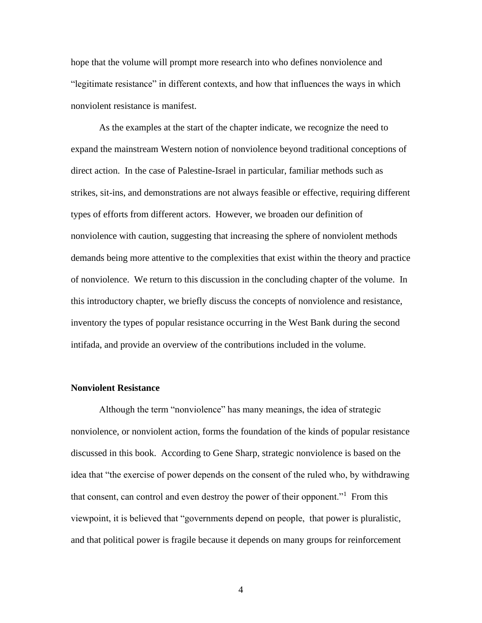hope that the volume will prompt more research into who defines nonviolence and "legitimate resistance" in different contexts, and how that influences the ways in which nonviolent resistance is manifest.

As the examples at the start of the chapter indicate, we recognize the need to expand the mainstream Western notion of nonviolence beyond traditional conceptions of direct action. In the case of Palestine-Israel in particular, familiar methods such as strikes, sit-ins, and demonstrations are not always feasible or effective, requiring different types of efforts from different actors. However, we broaden our definition of nonviolence with caution, suggesting that increasing the sphere of nonviolent methods demands being more attentive to the complexities that exist within the theory and practice of nonviolence. We return to this discussion in the concluding chapter of the volume. In this introductory chapter, we briefly discuss the concepts of nonviolence and resistance, inventory the types of popular resistance occurring in the West Bank during the second intifada, and provide an overview of the contributions included in the volume.

# **Nonviolent Resistance**

Although the term "nonviolence" has many meanings, the idea of strategic nonviolence, or nonviolent action, forms the foundation of the kinds of popular resistance discussed in this book. According to Gene Sharp, strategic nonviolence is based on the idea that "the exercise of power depends on the consent of the ruled who, by withdrawing that consent, can control and even destroy the power of their opponent."<sup>1</sup> From this viewpoint, it is believed that "governments depend on people, that power is pluralistic, and that political power is fragile because it depends on many groups for reinforcement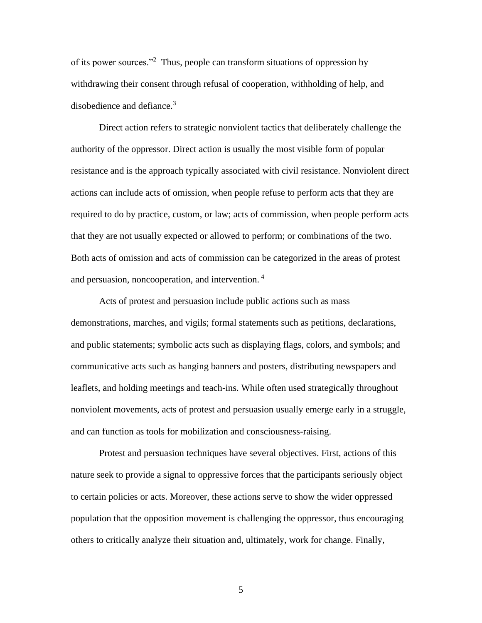of its power sources."<sup>2</sup> Thus, people can transform situations of oppression by withdrawing their consent through refusal of cooperation, withholding of help, and disobedience and defiance.<sup>3</sup>

Direct action refers to strategic nonviolent tactics that deliberately challenge the authority of the oppressor. Direct action is usually the most visible form of popular resistance and is the approach typically associated with civil resistance. Nonviolent direct actions can include acts of omission, when people refuse to perform acts that they are required to do by practice, custom, or law; acts of commission, when people perform acts that they are not usually expected or allowed to perform; or combinations of the two. Both acts of omission and acts of commission can be categorized in the areas of protest and persuasion, noncooperation, and intervention. <sup>4</sup>

Acts of protest and persuasion include public actions such as mass demonstrations, marches, and vigils; formal statements such as petitions, declarations, and public statements; symbolic acts such as displaying flags, colors, and symbols; and communicative acts such as hanging banners and posters, distributing newspapers and leaflets, and holding meetings and teach-ins. While often used strategically throughout nonviolent movements, acts of protest and persuasion usually emerge early in a struggle, and can function as tools for mobilization and consciousness-raising.

Protest and persuasion techniques have several objectives. First, actions of this nature seek to provide a signal to oppressive forces that the participants seriously object to certain policies or acts. Moreover, these actions serve to show the wider oppressed population that the opposition movement is challenging the oppressor, thus encouraging others to critically analyze their situation and, ultimately, work for change. Finally,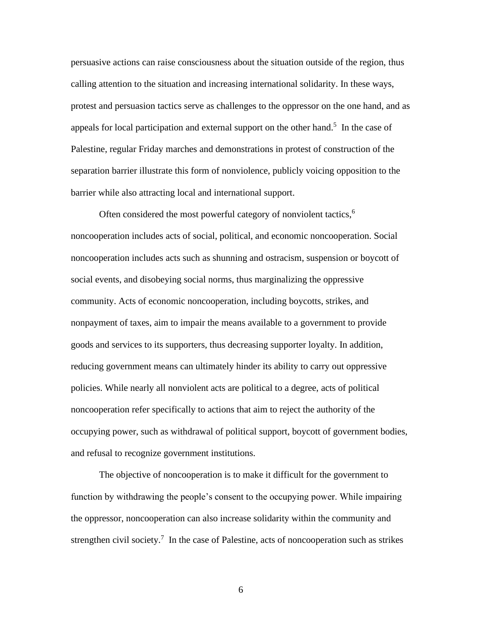persuasive actions can raise consciousness about the situation outside of the region, thus calling attention to the situation and increasing international solidarity. In these ways, protest and persuasion tactics serve as challenges to the oppressor on the one hand, and as appeals for local participation and external support on the other hand.<sup>5</sup> In the case of Palestine, regular Friday marches and demonstrations in protest of construction of the separation barrier illustrate this form of nonviolence, publicly voicing opposition to the barrier while also attracting local and international support.

Often considered the most powerful category of nonviolent tactics,<sup>6</sup> noncooperation includes acts of social, political, and economic noncooperation. Social noncooperation includes acts such as shunning and ostracism, suspension or boycott of social events, and disobeying social norms, thus marginalizing the oppressive community. Acts of economic noncooperation, including boycotts, strikes, and nonpayment of taxes, aim to impair the means available to a government to provide goods and services to its supporters, thus decreasing supporter loyalty. In addition, reducing government means can ultimately hinder its ability to carry out oppressive policies. While nearly all nonviolent acts are political to a degree, acts of political noncooperation refer specifically to actions that aim to reject the authority of the occupying power, such as withdrawal of political support, boycott of government bodies, and refusal to recognize government institutions.

The objective of noncooperation is to make it difficult for the government to function by withdrawing the people's consent to the occupying power. While impairing the oppressor, noncooperation can also increase solidarity within the community and strengthen civil society.<sup>7</sup> In the case of Palestine, acts of noncooperation such as strikes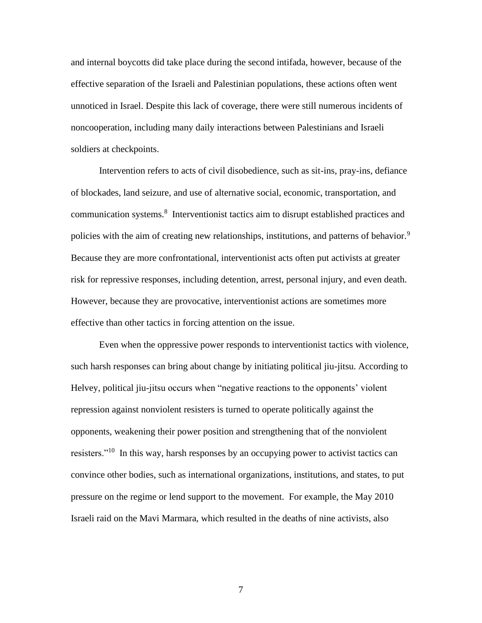and internal boycotts did take place during the second intifada, however, because of the effective separation of the Israeli and Palestinian populations, these actions often went unnoticed in Israel. Despite this lack of coverage, there were still numerous incidents of noncooperation, including many daily interactions between Palestinians and Israeli soldiers at checkpoints.

Intervention refers to acts of civil disobedience, such as sit-ins, pray-ins, defiance of blockades, land seizure, and use of alternative social, economic, transportation, and communication systems.<sup>8</sup> Interventionist tactics aim to disrupt established practices and policies with the aim of creating new relationships, institutions, and patterns of behavior.<sup>9</sup> Because they are more confrontational, interventionist acts often put activists at greater risk for repressive responses, including detention, arrest, personal injury, and even death. However, because they are provocative, interventionist actions are sometimes more effective than other tactics in forcing attention on the issue.

Even when the oppressive power responds to interventionist tactics with violence, such harsh responses can bring about change by initiating political jiu-jitsu. According to Helvey, political jiu-jitsu occurs when "negative reactions to the opponents' violent repression against nonviolent resisters is turned to operate politically against the opponents, weakening their power position and strengthening that of the nonviolent resisters."<sup>10</sup> In this way, harsh responses by an occupying power to activist tactics can convince other bodies, such as international organizations, institutions, and states, to put pressure on the regime or lend support to the movement. For example, the May 2010 Israeli raid on the Mavi Marmara, which resulted in the deaths of nine activists, also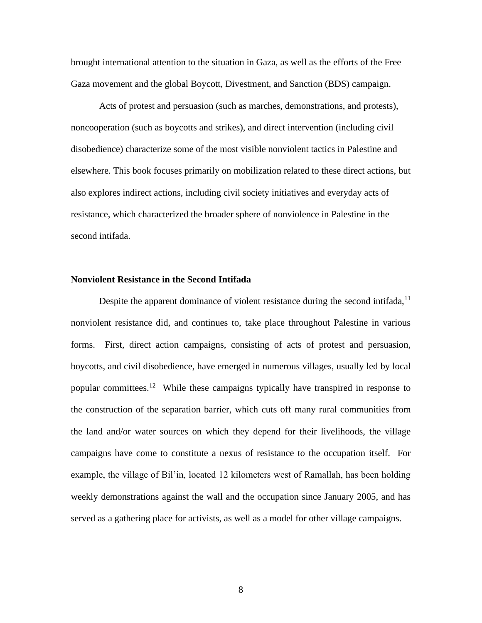brought international attention to the situation in Gaza, as well as the efforts of the Free Gaza movement and the global Boycott, Divestment, and Sanction (BDS) campaign.

Acts of protest and persuasion (such as marches, demonstrations, and protests), noncooperation (such as boycotts and strikes), and direct intervention (including civil disobedience) characterize some of the most visible nonviolent tactics in Palestine and elsewhere. This book focuses primarily on mobilization related to these direct actions, but also explores indirect actions, including civil society initiatives and everyday acts of resistance, which characterized the broader sphere of nonviolence in Palestine in the second intifada.

# **Nonviolent Resistance in the Second Intifada**

Despite the apparent dominance of violent resistance during the second intifada,  $\frac{11}{11}$ nonviolent resistance did, and continues to, take place throughout Palestine in various forms. First, direct action campaigns, consisting of acts of protest and persuasion, boycotts, and civil disobedience, have emerged in numerous villages, usually led by local popular committees.<sup>12</sup> While these campaigns typically have transpired in response to the construction of the separation barrier, which cuts off many rural communities from the land and/or water sources on which they depend for their livelihoods, the village campaigns have come to constitute a nexus of resistance to the occupation itself. For example, the village of Bil'in, located 12 kilometers west of Ramallah, has been holding weekly demonstrations against the wall and the occupation since January 2005, and has served as a gathering place for activists, as well as a model for other village campaigns.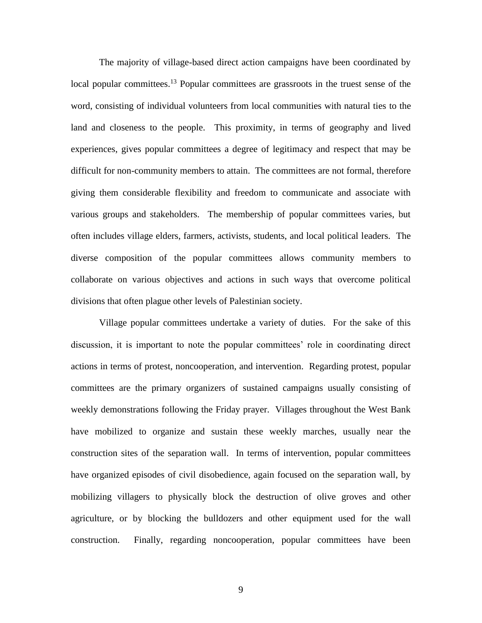The majority of village-based direct action campaigns have been coordinated by local popular committees.<sup>13</sup> Popular committees are grassroots in the truest sense of the word, consisting of individual volunteers from local communities with natural ties to the land and closeness to the people. This proximity, in terms of geography and lived experiences, gives popular committees a degree of legitimacy and respect that may be difficult for non-community members to attain. The committees are not formal, therefore giving them considerable flexibility and freedom to communicate and associate with various groups and stakeholders. The membership of popular committees varies, but often includes village elders, farmers, activists, students, and local political leaders. The diverse composition of the popular committees allows community members to collaborate on various objectives and actions in such ways that overcome political divisions that often plague other levels of Palestinian society.

Village popular committees undertake a variety of duties. For the sake of this discussion, it is important to note the popular committees' role in coordinating direct actions in terms of protest, noncooperation, and intervention. Regarding protest, popular committees are the primary organizers of sustained campaigns usually consisting of weekly demonstrations following the Friday prayer. Villages throughout the West Bank have mobilized to organize and sustain these weekly marches, usually near the construction sites of the separation wall. In terms of intervention, popular committees have organized episodes of civil disobedience, again focused on the separation wall, by mobilizing villagers to physically block the destruction of olive groves and other agriculture, or by blocking the bulldozers and other equipment used for the wall construction. Finally, regarding noncooperation, popular committees have been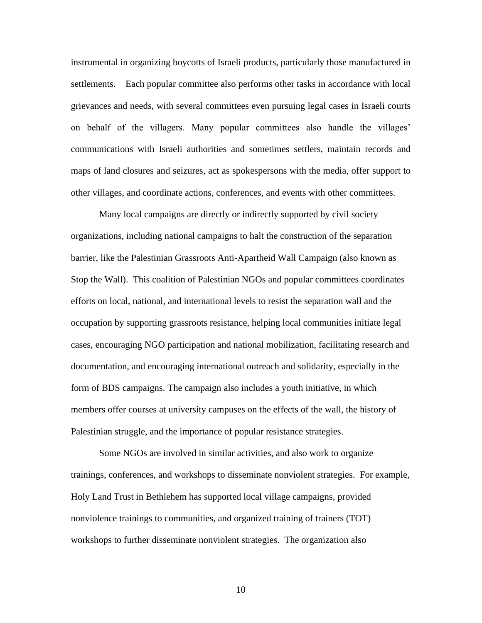instrumental in organizing boycotts of Israeli products, particularly those manufactured in settlements. Each popular committee also performs other tasks in accordance with local grievances and needs, with several committees even pursuing legal cases in Israeli courts on behalf of the villagers. Many popular committees also handle the villages' communications with Israeli authorities and sometimes settlers, maintain records and maps of land closures and seizures, act as spokespersons with the media, offer support to other villages, and coordinate actions, conferences, and events with other committees.

Many local campaigns are directly or indirectly supported by civil society organizations, including national campaigns to halt the construction of the separation barrier, like the Palestinian Grassroots Anti-Apartheid Wall Campaign (also known as Stop the Wall). This coalition of Palestinian NGOs and popular committees coordinates efforts on local, national, and international levels to resist the separation wall and the occupation by supporting grassroots resistance, helping local communities initiate legal cases, encouraging NGO participation and national mobilization, facilitating research and documentation, and encouraging international outreach and solidarity, especially in the form of BDS campaigns. The campaign also includes a youth initiative, in which members offer courses at university campuses on the effects of the wall, the history of Palestinian struggle, and the importance of popular resistance strategies.

Some NGOs are involved in similar activities, and also work to organize trainings, conferences, and workshops to disseminate nonviolent strategies. For example, Holy Land Trust in Bethlehem has supported local village campaigns, provided nonviolence trainings to communities, and organized training of trainers (TOT) workshops to further disseminate nonviolent strategies. The organization also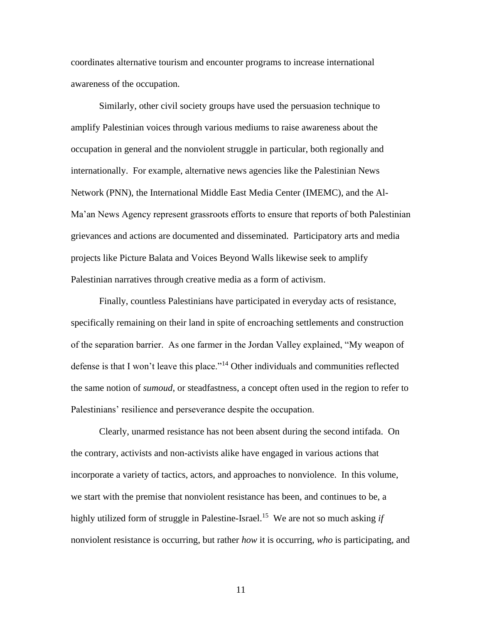coordinates alternative tourism and encounter programs to increase international awareness of the occupation.

Similarly, other civil society groups have used the persuasion technique to amplify Palestinian voices through various mediums to raise awareness about the occupation in general and the nonviolent struggle in particular, both regionally and internationally. For example, alternative news agencies like the Palestinian News Network (PNN), the International Middle East Media Center (IMEMC), and the Al-Ma'an News Agency represent grassroots efforts to ensure that reports of both Palestinian grievances and actions are documented and disseminated. Participatory arts and media projects like Picture Balata and Voices Beyond Walls likewise seek to amplify Palestinian narratives through creative media as a form of activism.

Finally, countless Palestinians have participated in everyday acts of resistance, specifically remaining on their land in spite of encroaching settlements and construction of the separation barrier. As one farmer in the Jordan Valley explained, "My weapon of defense is that I won't leave this place."<sup>14</sup> Other individuals and communities reflected the same notion of *sumoud*, or steadfastness, a concept often used in the region to refer to Palestinians' resilience and perseverance despite the occupation.

Clearly, unarmed resistance has not been absent during the second intifada. On the contrary, activists and non-activists alike have engaged in various actions that incorporate a variety of tactics, actors, and approaches to nonviolence. In this volume, we start with the premise that nonviolent resistance has been, and continues to be, a highly utilized form of struggle in Palestine-Israel. 15 We are not so much asking *if* nonviolent resistance is occurring, but rather *how* it is occurring, *who* is participating, and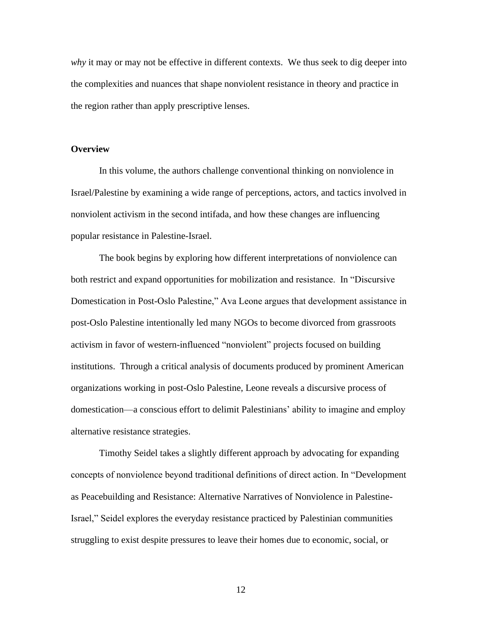*why* it may or may not be effective in different contexts. We thus seek to dig deeper into the complexities and nuances that shape nonviolent resistance in theory and practice in the region rather than apply prescriptive lenses.

### **Overview**

In this volume, the authors challenge conventional thinking on nonviolence in Israel/Palestine by examining a wide range of perceptions, actors, and tactics involved in nonviolent activism in the second intifada, and how these changes are influencing popular resistance in Palestine-Israel.

The book begins by exploring how different interpretations of nonviolence can both restrict and expand opportunities for mobilization and resistance. In "Discursive Domestication in Post-Oslo Palestine," Ava Leone argues that development assistance in post-Oslo Palestine intentionally led many NGOs to become divorced from grassroots activism in favor of western-influenced "nonviolent" projects focused on building institutions. Through a critical analysis of documents produced by prominent American organizations working in post-Oslo Palestine, Leone reveals a discursive process of domestication—a conscious effort to delimit Palestinians' ability to imagine and employ alternative resistance strategies.

Timothy Seidel takes a slightly different approach by advocating for expanding concepts of nonviolence beyond traditional definitions of direct action. In "Development as Peacebuilding and Resistance: Alternative Narratives of Nonviolence in Palestine-Israel," Seidel explores the everyday resistance practiced by Palestinian communities struggling to exist despite pressures to leave their homes due to economic, social, or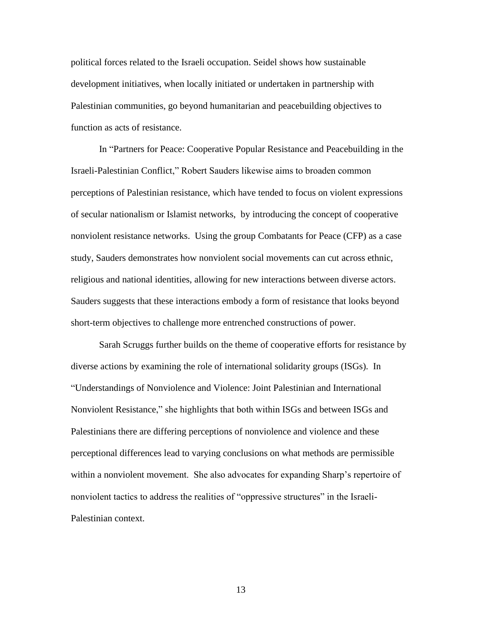political forces related to the Israeli occupation. Seidel shows how sustainable development initiatives, when locally initiated or undertaken in partnership with Palestinian communities, go beyond humanitarian and peacebuilding objectives to function as acts of resistance.

In "Partners for Peace: Cooperative Popular Resistance and Peacebuilding in the Israeli-Palestinian Conflict," Robert Sauders likewise aims to broaden common perceptions of Palestinian resistance, which have tended to focus on violent expressions of secular nationalism or Islamist networks, by introducing the concept of cooperative nonviolent resistance networks. Using the group Combatants for Peace (CFP) as a case study, Sauders demonstrates how nonviolent social movements can cut across ethnic, religious and national identities, allowing for new interactions between diverse actors. Sauders suggests that these interactions embody a form of resistance that looks beyond short-term objectives to challenge more entrenched constructions of power.

Sarah Scruggs further builds on the theme of cooperative efforts for resistance by diverse actions by examining the role of international solidarity groups (ISGs). In "Understandings of Nonviolence and Violence: Joint Palestinian and International Nonviolent Resistance," she highlights that both within ISGs and between ISGs and Palestinians there are differing perceptions of nonviolence and violence and these perceptional differences lead to varying conclusions on what methods are permissible within a nonviolent movement. She also advocates for expanding Sharp's repertoire of nonviolent tactics to address the realities of "oppressive structures" in the Israeli-Palestinian context.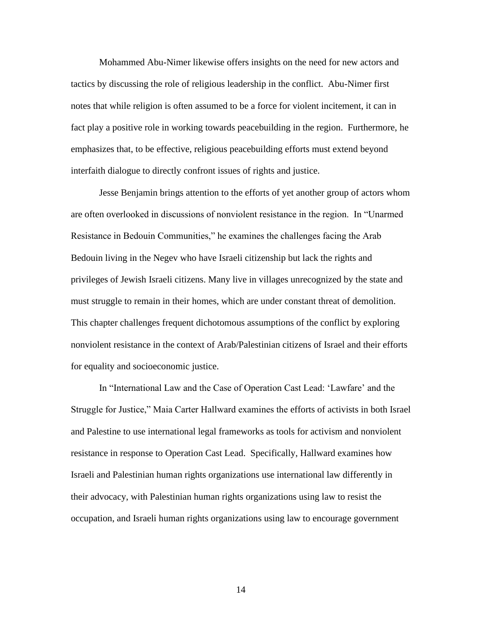Mohammed Abu-Nimer likewise offers insights on the need for new actors and tactics by discussing the role of religious leadership in the conflict. Abu-Nimer first notes that while religion is often assumed to be a force for violent incitement, it can in fact play a positive role in working towards peacebuilding in the region. Furthermore, he emphasizes that, to be effective, religious peacebuilding efforts must extend beyond interfaith dialogue to directly confront issues of rights and justice.

Jesse Benjamin brings attention to the efforts of yet another group of actors whom are often overlooked in discussions of nonviolent resistance in the region. In "Unarmed Resistance in Bedouin Communities," he examines the challenges facing the Arab Bedouin living in the Negev who have Israeli citizenship but lack the rights and privileges of Jewish Israeli citizens. Many live in villages unrecognized by the state and must struggle to remain in their homes, which are under constant threat of demolition. This chapter challenges frequent dichotomous assumptions of the conflict by exploring nonviolent resistance in the context of Arab/Palestinian citizens of Israel and their efforts for equality and socioeconomic justice.

In "International Law and the Case of Operation Cast Lead: 'Lawfare' and the Struggle for Justice," Maia Carter Hallward examines the efforts of activists in both Israel and Palestine to use international legal frameworks as tools for activism and nonviolent resistance in response to Operation Cast Lead. Specifically, Hallward examines how Israeli and Palestinian human rights organizations use international law differently in their advocacy, with Palestinian human rights organizations using law to resist the occupation, and Israeli human rights organizations using law to encourage government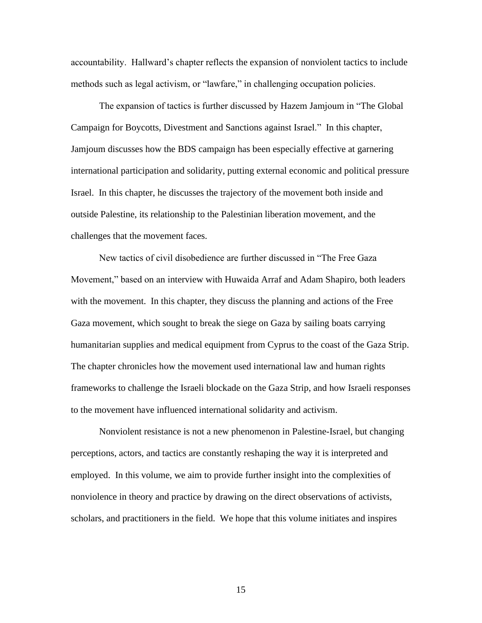accountability. Hallward's chapter reflects the expansion of nonviolent tactics to include methods such as legal activism, or "lawfare," in challenging occupation policies.

The expansion of tactics is further discussed by Hazem Jamjoum in "The Global Campaign for Boycotts, Divestment and Sanctions against Israel." In this chapter, Jamjoum discusses how the BDS campaign has been especially effective at garnering international participation and solidarity, putting external economic and political pressure Israel. In this chapter, he discusses the trajectory of the movement both inside and outside Palestine, its relationship to the Palestinian liberation movement, and the challenges that the movement faces.

New tactics of civil disobedience are further discussed in "The Free Gaza Movement," based on an interview with Huwaida Arraf and Adam Shapiro, both leaders with the movement. In this chapter, they discuss the planning and actions of the Free Gaza movement, which sought to break the siege on Gaza by sailing boats carrying humanitarian supplies and medical equipment from Cyprus to the coast of the Gaza Strip. The chapter chronicles how the movement used international law and human rights frameworks to challenge the Israeli blockade on the Gaza Strip, and how Israeli responses to the movement have influenced international solidarity and activism.

Nonviolent resistance is not a new phenomenon in Palestine-Israel, but changing perceptions, actors, and tactics are constantly reshaping the way it is interpreted and employed. In this volume, we aim to provide further insight into the complexities of nonviolence in theory and practice by drawing on the direct observations of activists, scholars, and practitioners in the field. We hope that this volume initiates and inspires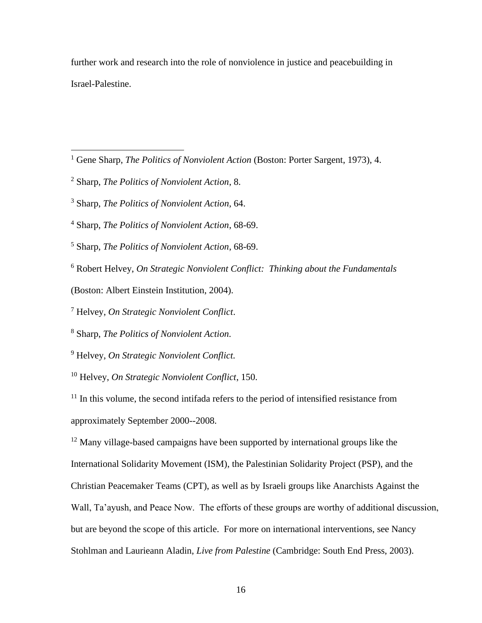further work and research into the role of nonviolence in justice and peacebuilding in Israel-Palestine.

<sup>1</sup> Gene Sharp, *The Politics of Nonviolent Action* (Boston: Porter Sargent, 1973), 4.

<sup>2</sup> Sharp, *The Politics of Nonviolent Action*, 8.

<sup>3</sup> Sharp, *The Politics of Nonviolent Action*, 64.

<sup>4</sup> Sharp, *The Politics of Nonviolent Action*, 68-69.

<sup>5</sup> Sharp, *The Politics of Nonviolent Action*, 68-69.

<sup>6</sup> Robert Helvey, *On Strategic Nonviolent Conflict: Thinking about the Fundamentals*

(Boston: Albert Einstein Institution, 2004).

<sup>7</sup> Helvey, *On Strategic Nonviolent Conflict*.

<sup>8</sup> Sharp, *The Politics of Nonviolent Action.*

<sup>9</sup> Helvey, *On Strategic Nonviolent Conflict.*

<sup>10</sup> Helvey, *On Strategic Nonviolent Conflict*, 150.

 $11$  In this volume, the second intifada refers to the period of intensified resistance from approximately September 2000--2008.

<sup>12</sup> Many village-based campaigns have been supported by international groups like the International Solidarity Movement (ISM), the Palestinian Solidarity Project (PSP), and the Christian Peacemaker Teams (CPT), as well as by Israeli groups like Anarchists Against the Wall, Ta'ayush, and Peace Now. The efforts of these groups are worthy of additional discussion, but are beyond the scope of this article. For more on international interventions, see Nancy Stohlman and Laurieann Aladin, *Live from Palestine* (Cambridge: South End Press, 2003).